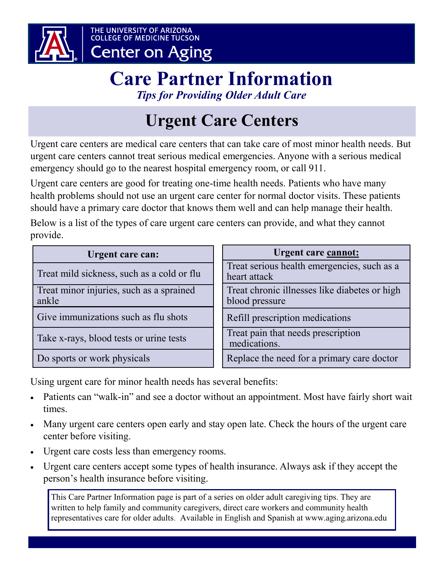

### THE UNIVERSITY OF ARIZONA<br>COLLEGE OF MEDICINE TUCSON **Center on Aging**

## **Care Partner Information** *Tips for Providing Older Adult Care*

# **Urgent Care Centers**

Urgent care centers are medical care centers that can take care of most minor health needs. But urgent care centers cannot treat serious medical emergencies. Anyone with a serious medical emergency should go to the nearest hospital emergency room, or call 911.

Urgent care centers are good for treating one-time health needs. Patients who have many health problems should not use an urgent care center for normal doctor visits. These patients should have a primary care doctor that knows them well and can help manage their health.

Below is a list of the types of care urgent care centers can provide, and what they cannot provide.

| Urgent care can:                                  | Urgent care cannot:                                             |
|---------------------------------------------------|-----------------------------------------------------------------|
| Treat mild sickness, such as a cold or flu        | Treat serious health emergencies, such as a<br>heart attack     |
| Treat minor injuries, such as a sprained<br>ankle | Treat chronic illnesses like diabetes or high<br>blood pressure |
| Give immunizations such as flu shots              | Refill prescription medications                                 |
| Take x-rays, blood tests or urine tests           | Treat pain that needs prescription<br>medications.              |
| Do sports or work physicals                       | Replace the need for a primary care doctor                      |

Using urgent care for minor health needs has several benefits:

- Patients can "walk-in" and see a doctor without an appointment. Most have fairly short wait times.
- Many urgent care centers open early and stay open late. Check the hours of the urgent care center before visiting.
- Urgent care costs less than emergency rooms.
- Urgent care centers accept some types of health insurance. Always ask if they accept the person's health insurance before visiting.

This Care Partner Information page is part of a series on older adult caregiving tips. They are written to help family and community caregivers, direct care workers and community health representatives care for older adults. Available in English and Spanish at www.aging.arizona.edu